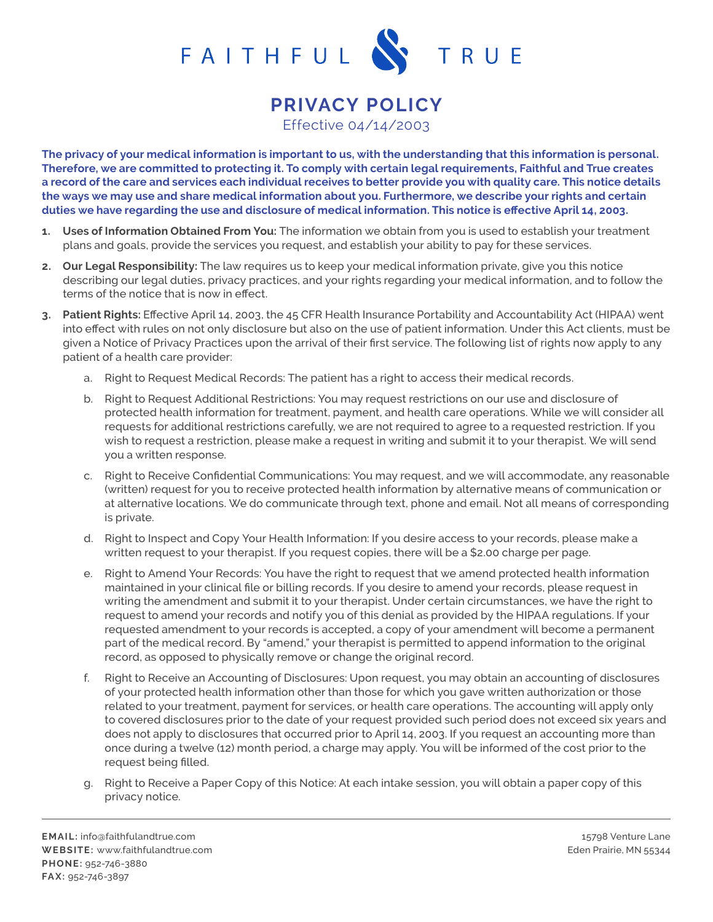

## **PRIVACY POLICY**

Effective 04/14/2003

**The privacy of your medical information is important to us, with the understanding that this information is personal. Therefore, we are committed to protecting it. To comply with certain legal requirements, Faithful and True creates a record of the care and services each individual receives to better provide you with quality care. This notice details the ways we may use and share medical information about you. Furthermore, we describe your rights and certain duties we have regarding the use and disclosure of medical information. This notice is effective April 14, 2003.**

- **1. Uses of Information Obtained From You:** The information we obtain from you is used to establish your treatment plans and goals, provide the services you request, and establish your ability to pay for these services.
- **2. Our Legal Responsibility:** The law requires us to keep your medical information private, give you this notice describing our legal duties, privacy practices, and your rights regarding your medical information, and to follow the terms of the notice that is now in effect.
- **3. Patient Rights:** Effective April 14, 2003, the 45 CFR Health Insurance Portability and Accountability Act (HIPAA) went into effect with rules on not only disclosure but also on the use of patient information. Under this Act clients, must be given a Notice of Privacy Practices upon the arrival of their first service. The following list of rights now apply to any patient of a health care provider:
	- a. Right to Request Medical Records: The patient has a right to access their medical records.
	- b. Right to Request Additional Restrictions: You may request restrictions on our use and disclosure of protected health information for treatment, payment, and health care operations. While we will consider all requests for additional restrictions carefully, we are not required to agree to a requested restriction. If you wish to request a restriction, please make a request in writing and submit it to your therapist. We will send you a written response.
	- c. Right to Receive Confidential Communications: You may request, and we will accommodate, any reasonable (written) request for you to receive protected health information by alternative means of communication or at alternative locations. We do communicate through text, phone and email. Not all means of corresponding is private.
	- d. Right to Inspect and Copy Your Health Information: If you desire access to your records, please make a written request to your therapist. If you request copies, there will be a \$2.00 charge per page.
	- e. Right to Amend Your Records: You have the right to request that we amend protected health information maintained in your clinical file or billing records. If you desire to amend your records, please request in writing the amendment and submit it to your therapist. Under certain circumstances, we have the right to request to amend your records and notify you of this denial as provided by the HIPAA regulations. If your requested amendment to your records is accepted, a copy of your amendment will become a permanent part of the medical record. By "amend," your therapist is permitted to append information to the original record, as opposed to physically remove or change the original record.
	- f. Right to Receive an Accounting of Disclosures: Upon request, you may obtain an accounting of disclosures of your protected health information other than those for which you gave written authorization or those related to your treatment, payment for services, or health care operations. The accounting will apply only to covered disclosures prior to the date of your request provided such period does not exceed six years and does not apply to disclosures that occurred prior to April 14, 2003. If you request an accounting more than once during a twelve (12) month period, a charge may apply. You will be informed of the cost prior to the request being filled.
	- g. Right to Receive a Paper Copy of this Notice: At each intake session, you will obtain a paper copy of this privacy notice.